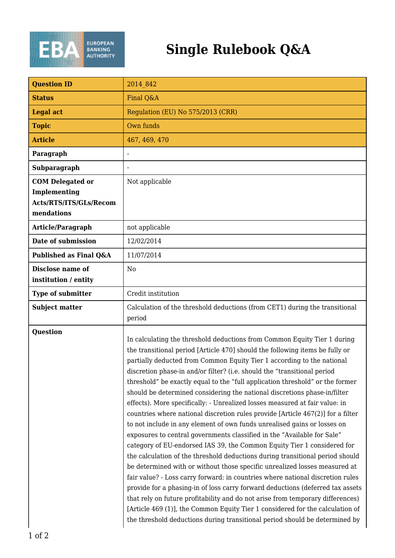

| <b>Question ID</b>                                                              | 2014 842                                                                                                                                                                                                                                                                                                                                                                                                                                                                                                                                                                                                                                                                                                                                                                                                                                                                                                                                                                                                                                                                                                                                                                                                                                                                                                                                                                                                                                                              |
|---------------------------------------------------------------------------------|-----------------------------------------------------------------------------------------------------------------------------------------------------------------------------------------------------------------------------------------------------------------------------------------------------------------------------------------------------------------------------------------------------------------------------------------------------------------------------------------------------------------------------------------------------------------------------------------------------------------------------------------------------------------------------------------------------------------------------------------------------------------------------------------------------------------------------------------------------------------------------------------------------------------------------------------------------------------------------------------------------------------------------------------------------------------------------------------------------------------------------------------------------------------------------------------------------------------------------------------------------------------------------------------------------------------------------------------------------------------------------------------------------------------------------------------------------------------------|
| <b>Status</b>                                                                   | Final Q&A                                                                                                                                                                                                                                                                                                                                                                                                                                                                                                                                                                                                                                                                                                                                                                                                                                                                                                                                                                                                                                                                                                                                                                                                                                                                                                                                                                                                                                                             |
| <b>Legal act</b>                                                                | Regulation (EU) No 575/2013 (CRR)                                                                                                                                                                                                                                                                                                                                                                                                                                                                                                                                                                                                                                                                                                                                                                                                                                                                                                                                                                                                                                                                                                                                                                                                                                                                                                                                                                                                                                     |
| <b>Topic</b>                                                                    | Own funds                                                                                                                                                                                                                                                                                                                                                                                                                                                                                                                                                                                                                                                                                                                                                                                                                                                                                                                                                                                                                                                                                                                                                                                                                                                                                                                                                                                                                                                             |
| <b>Article</b>                                                                  | 467, 469, 470                                                                                                                                                                                                                                                                                                                                                                                                                                                                                                                                                                                                                                                                                                                                                                                                                                                                                                                                                                                                                                                                                                                                                                                                                                                                                                                                                                                                                                                         |
| Paragraph                                                                       |                                                                                                                                                                                                                                                                                                                                                                                                                                                                                                                                                                                                                                                                                                                                                                                                                                                                                                                                                                                                                                                                                                                                                                                                                                                                                                                                                                                                                                                                       |
| Subparagraph                                                                    |                                                                                                                                                                                                                                                                                                                                                                                                                                                                                                                                                                                                                                                                                                                                                                                                                                                                                                                                                                                                                                                                                                                                                                                                                                                                                                                                                                                                                                                                       |
| <b>COM Delegated or</b><br>Implementing<br>Acts/RTS/ITS/GLs/Recom<br>mendations | Not applicable                                                                                                                                                                                                                                                                                                                                                                                                                                                                                                                                                                                                                                                                                                                                                                                                                                                                                                                                                                                                                                                                                                                                                                                                                                                                                                                                                                                                                                                        |
| Article/Paragraph                                                               | not applicable                                                                                                                                                                                                                                                                                                                                                                                                                                                                                                                                                                                                                                                                                                                                                                                                                                                                                                                                                                                                                                                                                                                                                                                                                                                                                                                                                                                                                                                        |
| Date of submission                                                              | 12/02/2014                                                                                                                                                                                                                                                                                                                                                                                                                                                                                                                                                                                                                                                                                                                                                                                                                                                                                                                                                                                                                                                                                                                                                                                                                                                                                                                                                                                                                                                            |
| Published as Final Q&A                                                          | 11/07/2014                                                                                                                                                                                                                                                                                                                                                                                                                                                                                                                                                                                                                                                                                                                                                                                                                                                                                                                                                                                                                                                                                                                                                                                                                                                                                                                                                                                                                                                            |
| Disclose name of<br>institution / entity                                        | N <sub>0</sub>                                                                                                                                                                                                                                                                                                                                                                                                                                                                                                                                                                                                                                                                                                                                                                                                                                                                                                                                                                                                                                                                                                                                                                                                                                                                                                                                                                                                                                                        |
| <b>Type of submitter</b>                                                        | Credit institution                                                                                                                                                                                                                                                                                                                                                                                                                                                                                                                                                                                                                                                                                                                                                                                                                                                                                                                                                                                                                                                                                                                                                                                                                                                                                                                                                                                                                                                    |
| <b>Subject matter</b>                                                           | Calculation of the threshold deductions (from CET1) during the transitional<br>period                                                                                                                                                                                                                                                                                                                                                                                                                                                                                                                                                                                                                                                                                                                                                                                                                                                                                                                                                                                                                                                                                                                                                                                                                                                                                                                                                                                 |
| <b>Question</b>                                                                 | In calculating the threshold deductions from Common Equity Tier 1 during<br>the transitional period [Article 470] should the following items be fully or<br>partially deducted from Common Equity Tier 1 according to the national<br>discretion phase-in and/or filter? (i.e. should the "transitional period<br>threshold" be exactly equal to the "full application threshold" or the former<br>should be determined considering the national discretions phase-in/filter<br>effects). More specifically: - Unrealized losses measured at fair value: in<br>countries where national discretion rules provide [Article 467(2)] for a filter<br>to not include in any element of own funds unrealised gains or losses on<br>exposures to central governments classified in the "Available for Sale"<br>category of EU-endorsed IAS 39, the Common Equity Tier 1 considered for<br>the calculation of the threshold deductions during transitional period should<br>be determined with or without those specific unrealized losses measured at<br>fair value? - Loss carry forward: in countries where national discretion rules<br>provide for a phasing-in of loss carry forward deductions (deferred tax assets<br>that rely on future profitability and do not arise from temporary differences)<br>[Article 469 (1)], the Common Equity Tier 1 considered for the calculation of<br>the threshold deductions during transitional period should be determined by |